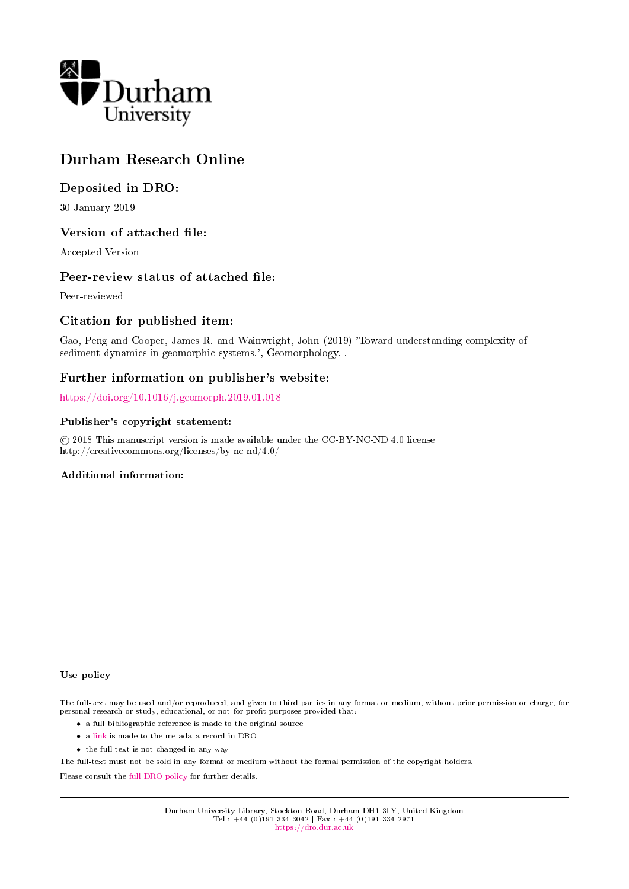

#### Durham Research Online

#### Deposited in DRO:

30 January 2019

#### Version of attached file:

Accepted Version

#### Peer-review status of attached file:

Peer-reviewed

#### Citation for published item:

Gao, Peng and Cooper, James R. and Wainwright, John (2019) 'Toward understanding complexity of sediment dynamics in geomorphic systems.', Geomorphology. .

#### Further information on publisher's website:

<https://doi.org/10.1016/j.geomorph.2019.01.018>

#### Publisher's copyright statement:

 c 2018 This manuscript version is made available under the CC-BY-NC-ND 4.0 license http://creativecommons.org/licenses/by-nc-nd/4.0/

#### Additional information:

Use policy

The full-text may be used and/or reproduced, and given to third parties in any format or medium, without prior permission or charge, for personal research or study, educational, or not-for-profit purposes provided that:

- a full bibliographic reference is made to the original source
- a [link](http://dro.dur.ac.uk/27313/) is made to the metadata record in DRO
- the full-text is not changed in any way

The full-text must not be sold in any format or medium without the formal permission of the copyright holders.

Please consult the [full DRO policy](https://dro.dur.ac.uk/policies/usepolicy.pdf) for further details.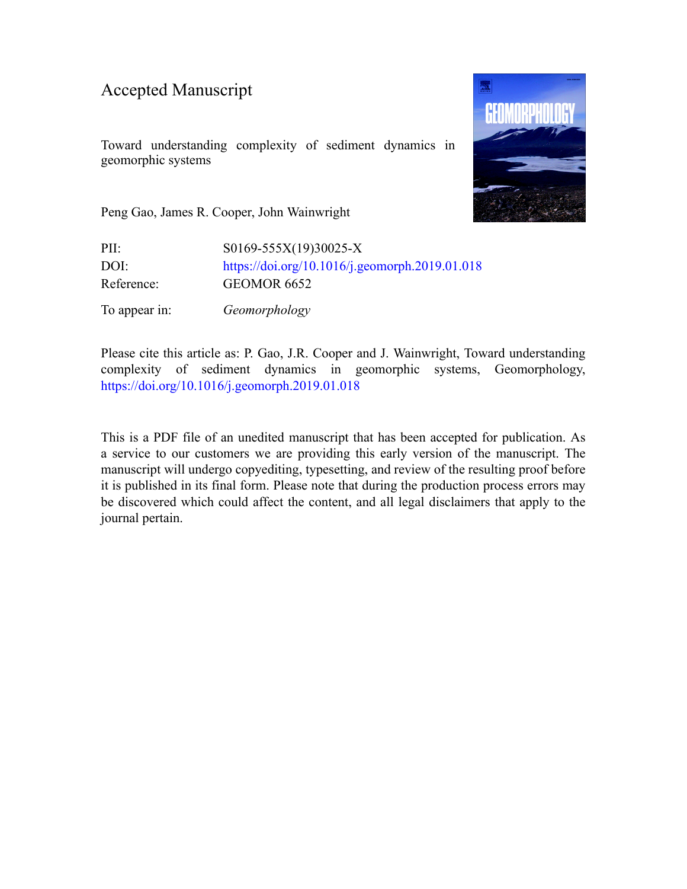#### Accepted Manuscript

Toward understanding complexity of sediment dynamics in geomorphic systems



Peng Gao, James R. Cooper, John Wainwright

PII: S0169-555X(19)30025-X DOI: <https://doi.org/10.1016/j.geomorph.2019.01.018> Reference: GEOMOR 6652 To appear in: *Geomorphology*

Please cite this article as: P. Gao, J.R. Cooper and J. Wainwright, Toward understanding complexity of sediment dynamics in geomorphic systems, Geomorphology, <https://doi.org/10.1016/j.geomorph.2019.01.018>

This is a PDF file of an unedited manuscript that has been accepted for publication. As a service to our customers we are providing this early version of the manuscript. The manuscript will undergo copyediting, typesetting, and review of the resulting proof before it is published in its final form. Please note that during the production process errors may be discovered which could affect the content, and all legal disclaimers that apply to the journal pertain.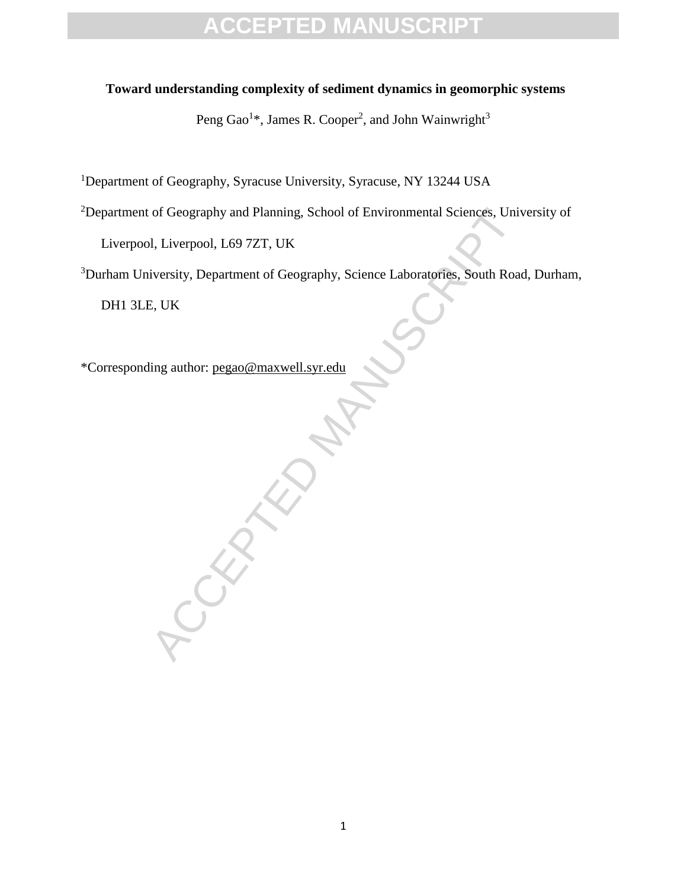#### **Toward understanding complexity of sediment dynamics in geomorphic systems**

Peng Gao<sup>1</sup>\*, James R. Cooper<sup>2</sup>, and John Wainwright<sup>3</sup>

<sup>1</sup>Department of Geography, Syracuse University, Syracuse, NY 13244 USA

<sup>2</sup>Department of Geography and Planning, School of Environmental Sciences, University of

Liverpool, Liverpool, L69 7ZT, UK

<sup>3</sup>Durham University, Department of Geography, Science Laboratories, South Road, Durham,

DH1 3LE, UK

\*Corresponding author: pegao@maxwell.syr.edu

CCEPTED M[AN](mailto:pegao@maxwell.syr.edu)USCRIPT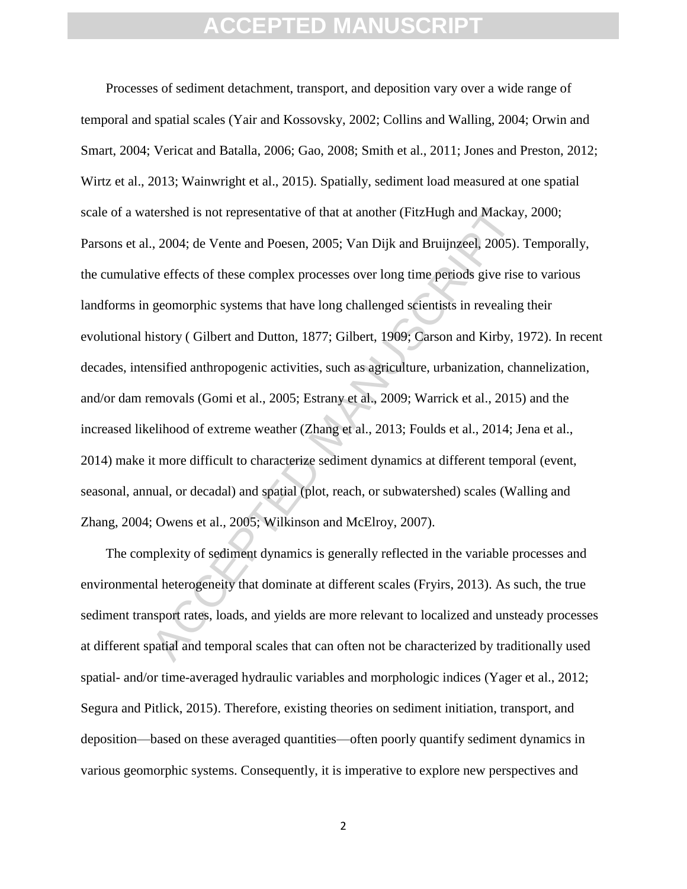tershed is not representative of that at another (FitzHugh and Mackay, 2004; de Vente and Poesen, 2005; Van Dijk and Bruijnzeel, 2005).<br>
we effects of these complex processes over long time periods give rise<br>
geomorphic sy Processes of sediment detachment, transport, and deposition vary over a wide range of temporal and spatial scales (Yair and Kossovsky, 2002; Collins and Walling, 2004; Orwin and Smart, 2004; Vericat and Batalla, 2006; Gao, 2008; Smith et al., 2011; Jones and Preston, 2012; Wirtz et al., 2013; Wainwright et al., 2015). Spatially, sediment load measured at one spatial scale of a watershed is not representative of that at another (FitzHugh and Mackay, 2000; Parsons et al., 2004; de Vente and Poesen, 2005; Van Dijk and Bruijnzeel, 2005). Temporally, the cumulative effects of these complex processes over long time periods give rise to various landforms in geomorphic systems that have long challenged scientists in revealing their evolutional history ( Gilbert and Dutton, 1877; Gilbert, 1909; Carson and Kirby, 1972). In recent decades, intensified anthropogenic activities, such as agriculture, urbanization, channelization, and/or dam removals (Gomi et al., 2005; Estrany et al., 2009; Warrick et al., 2015) and the increased likelihood of extreme weather (Zhang et al., 2013; Foulds et al., 2014; Jena et al., 2014) make it more difficult to characterize sediment dynamics at different temporal (event, seasonal, annual, or decadal) and spatial (plot, reach, or subwatershed) scales (Walling and Zhang, 2004; Owens et al., 2005; Wilkinson and McElroy, 2007).

The complexity of sediment dynamics is generally reflected in the variable processes and environmental heterogeneity that dominate at different scales (Fryirs, 2013). As such, the true sediment transport rates, loads, and yields are more relevant to localized and unsteady processes at different spatial and temporal scales that can often not be characterized by traditionally used spatial- and/or time-averaged hydraulic variables and morphologic indices (Yager et al., 2012; Segura and Pitlick, 2015). Therefore, existing theories on sediment initiation, transport, and deposition—based on these averaged quantities—often poorly quantify sediment dynamics in various geomorphic systems. Consequently, it is imperative to explore new perspectives and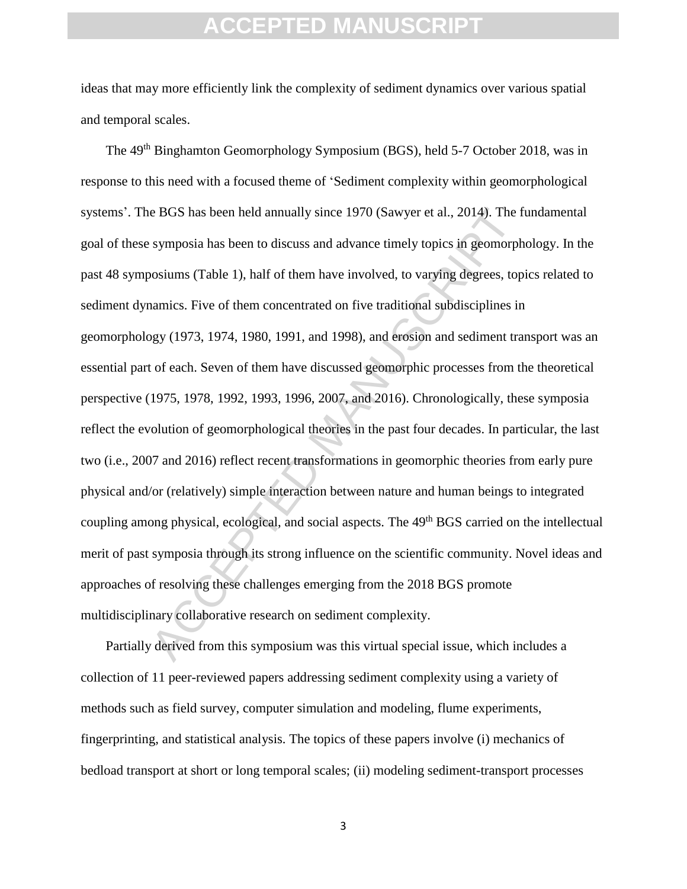ideas that may more efficiently link the complexity of sediment dynamics over various spatial and temporal scales.

e BGS has been held annually since 1970 (Sawyer et al., 2014). The f<br>symposia has been to discuss and advance timely topics in geomorph<br>osiums (Table 1), half of them have involved, to varying degrees, top<br>amics. Five of t The 49th Binghamton Geomorphology Symposium (BGS), held 5-7 October 2018, was in response to this need with a focused theme of 'Sediment complexity within geomorphological systems'. The BGS has been held annually since 1970 (Sawyer et al., 2014). The fundamental goal of these symposia has been to discuss and advance timely topics in geomorphology. In the past 48 symposiums (Table 1), half of them have involved, to varying degrees, topics related to sediment dynamics. Five of them concentrated on five traditional subdisciplines in geomorphology (1973, 1974, 1980, 1991, and 1998), and erosion and sediment transport was an essential part of each. Seven of them have discussed geomorphic processes from the theoretical perspective (1975, 1978, 1992, 1993, 1996, 2007, and 2016). Chronologically, these symposia reflect the evolution of geomorphological theories in the past four decades. In particular, the last two (i.e., 2007 and 2016) reflect recent transformations in geomorphic theories from early pure physical and/or (relatively) simple interaction between nature and human beings to integrated coupling among physical, ecological, and social aspects. The 49<sup>th</sup> BGS carried on the intellectual merit of past symposia through its strong influence on the scientific community. Novel ideas and approaches of resolving these challenges emerging from the 2018 BGS promote multidisciplinary collaborative research on sediment complexity.

Partially derived from this symposium was this virtual special issue, which includes a collection of 11 peer-reviewed papers addressing sediment complexity using a variety of methods such as field survey, computer simulation and modeling, flume experiments, fingerprinting, and statistical analysis. The topics of these papers involve (i) mechanics of bedload transport at short or long temporal scales; (ii) modeling sediment-transport processes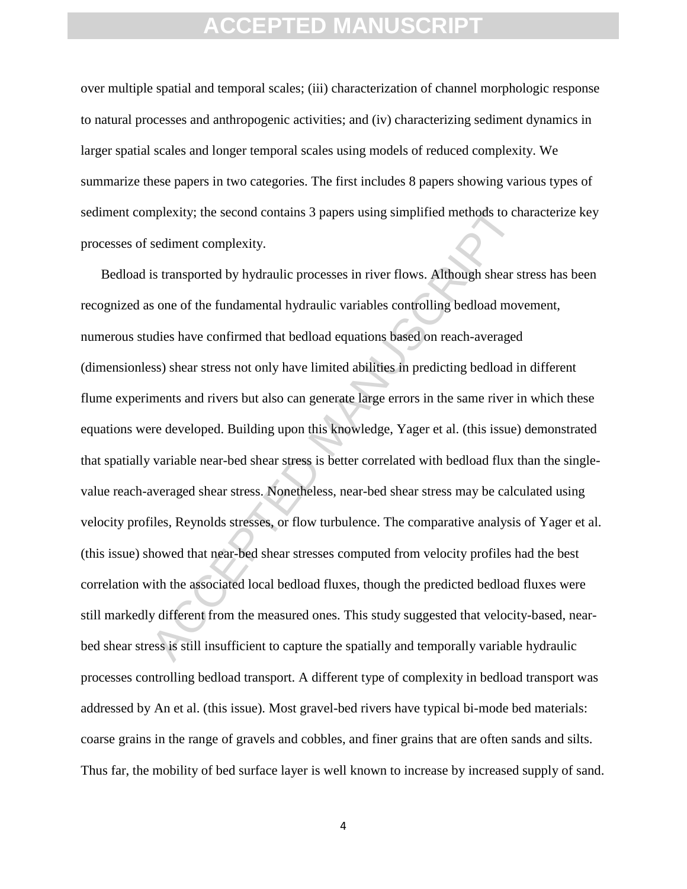over multiple spatial and temporal scales; (iii) characterization of channel morphologic response to natural processes and anthropogenic activities; and (iv) characterizing sediment dynamics in larger spatial scales and longer temporal scales using models of reduced complexity. We summarize these papers in two categories. The first includes 8 papers showing various types of sediment complexity; the second contains 3 papers using simplified methods to characterize key processes of sediment complexity.

mplexity; the second contains 3 papers using simplified methods to ch<br>sediment complexity.<br>is transported by hydraulic processes in river flows. Although shear s<br>sone of the fundamental hydraulic variables controlling bedl Bedload is transported by hydraulic processes in river flows. Although shear stress has been recognized as one of the fundamental hydraulic variables controlling bedload movement, numerous studies have confirmed that bedload equations based on reach-averaged (dimensionless) shear stress not only have limited abilities in predicting bedload in different flume experiments and rivers but also can generate large errors in the same river in which these equations were developed. Building upon this knowledge, Yager et al. (this issue) demonstrated that spatially variable near-bed shear stress is better correlated with bedload flux than the singlevalue reach-averaged shear stress. Nonetheless, near-bed shear stress may be calculated using velocity profiles, Reynolds stresses, or flow turbulence. The comparative analysis of Yager et al. (this issue) showed that near-bed shear stresses computed from velocity profiles had the best correlation with the associated local bedload fluxes, though the predicted bedload fluxes were still markedly different from the measured ones. This study suggested that velocity-based, nearbed shear stress is still insufficient to capture the spatially and temporally variable hydraulic processes controlling bedload transport. A different type of complexity in bedload transport was addressed by An et al. (this issue). Most gravel-bed rivers have typical bi-mode bed materials: coarse grains in the range of gravels and cobbles, and finer grains that are often sands and silts. Thus far, the mobility of bed surface layer is well known to increase by increased supply of sand.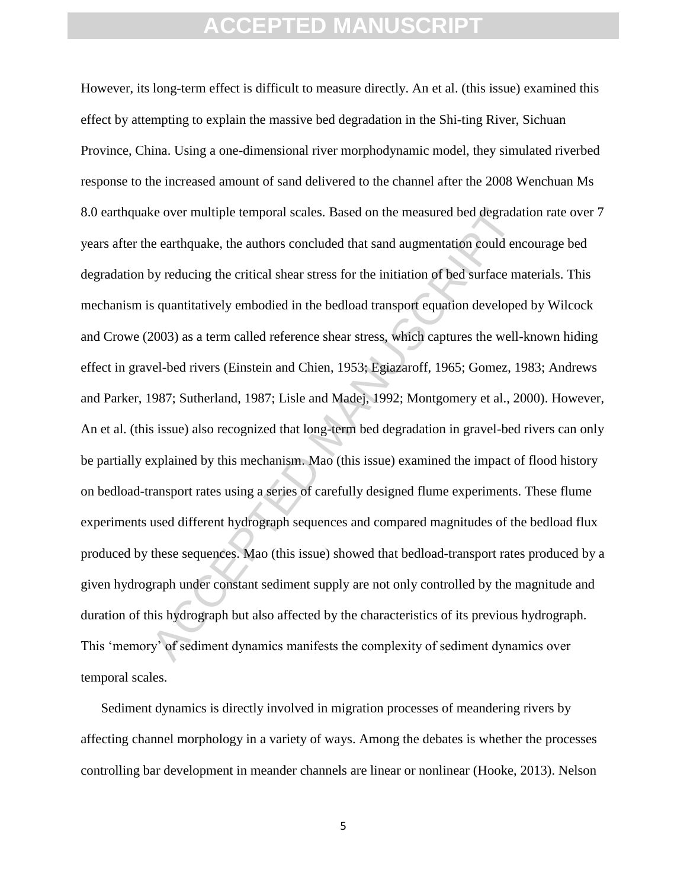ke over multiple temporal scales. Based on the measured bed degrada<br>
e earthquake, the authors concluded that sand augmentation could en<br>
by reducing the critical shear stress for the initiation of bed surface ms<br>
s quanti However, its long-term effect is difficult to measure directly. An et al. (this issue) examined this effect by attempting to explain the massive bed degradation in the Shi-ting River, Sichuan Province, China. Using a one-dimensional river morphodynamic model, they simulated riverbed response to the increased amount of sand delivered to the channel after the 2008 Wenchuan Ms 8.0 earthquake over multiple temporal scales. Based on the measured bed degradation rate over 7 years after the earthquake, the authors concluded that sand augmentation could encourage bed degradation by reducing the critical shear stress for the initiation of bed surface materials. This mechanism is quantitatively embodied in the bedload transport equation developed by Wilcock and Crowe (2003) as a term called reference shear stress, which captures the well-known hiding effect in gravel-bed rivers (Einstein and Chien, 1953; Egiazaroff, 1965; Gomez, 1983; Andrews and Parker, 1987; Sutherland, 1987; Lisle and Madej, 1992; Montgomery et al., 2000). However, An et al. (this issue) also recognized that long-term bed degradation in gravel-bed rivers can only be partially explained by this mechanism. Mao (this issue) examined the impact of flood history on bedload-transport rates using a series of carefully designed flume experiments. These flume experiments used different hydrograph sequences and compared magnitudes of the bedload flux produced by these sequences. Mao (this issue) showed that bedload-transport rates produced by a given hydrograph under constant sediment supply are not only controlled by the magnitude and duration of this hydrograph but also affected by the characteristics of its previous hydrograph. This 'memory' of sediment dynamics manifests the complexity of sediment dynamics over temporal scales.

Sediment dynamics is directly involved in migration processes of meandering rivers by affecting channel morphology in a variety of ways. Among the debates is whether the processes controlling bar development in meander channels are linear or nonlinear (Hooke, 2013). Nelson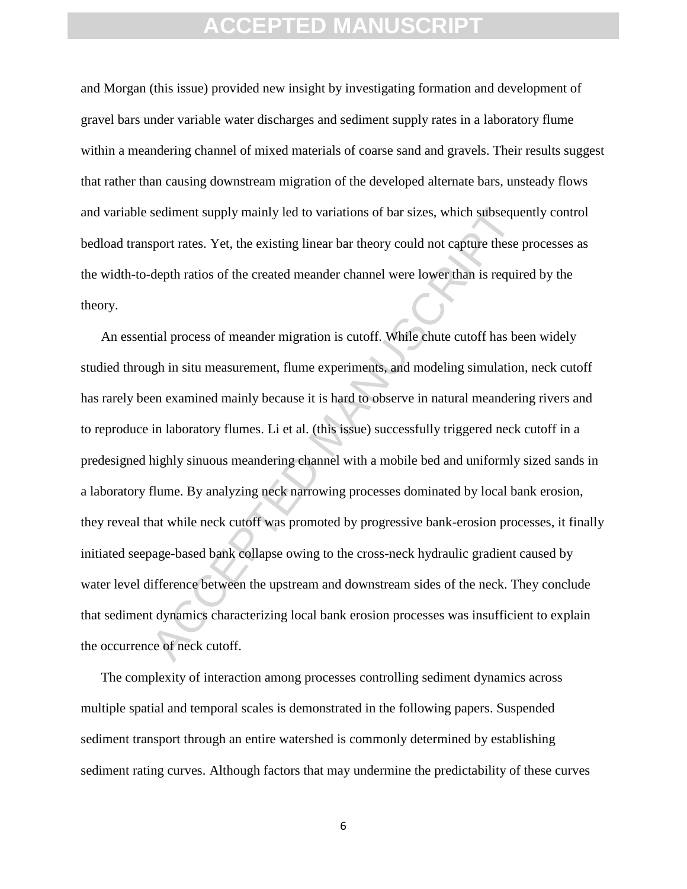and Morgan (this issue) provided new insight by investigating formation and development of gravel bars under variable water discharges and sediment supply rates in a laboratory flume within a meandering channel of mixed materials of coarse sand and gravels. Their results suggest that rather than causing downstream migration of the developed alternate bars, unsteady flows and variable sediment supply mainly led to variations of bar sizes, which subsequently control bedload transport rates. Yet, the existing linear bar theory could not capture these processes as the width-to-depth ratios of the created meander channel were lower than is required by the theory.

sediment supply mainly led to variations of bar sizes, which subseques<br>port rates. Yet, the existing linear bar theory could not capture these<br>depth ratios of the created meander channel were lower than is require<br>depth ra An essential process of meander migration is cutoff. While chute cutoff has been widely studied through in situ measurement, flume experiments, and modeling simulation, neck cutoff has rarely been examined mainly because it is hard to observe in natural meandering rivers and to reproduce in laboratory flumes. Li et al. (this issue) successfully triggered neck cutoff in a predesigned highly sinuous meandering channel with a mobile bed and uniformly sized sands in a laboratory flume. By analyzing neck narrowing processes dominated by local bank erosion, they reveal that while neck cutoff was promoted by progressive bank-erosion processes, it finally initiated seepage-based bank collapse owing to the cross-neck hydraulic gradient caused by water level difference between the upstream and downstream sides of the neck. They conclude that sediment dynamics characterizing local bank erosion processes was insufficient to explain the occurrence of neck cutoff.

The complexity of interaction among processes controlling sediment dynamics across multiple spatial and temporal scales is demonstrated in the following papers. Suspended sediment transport through an entire watershed is commonly determined by establishing sediment rating curves. Although factors that may undermine the predictability of these curves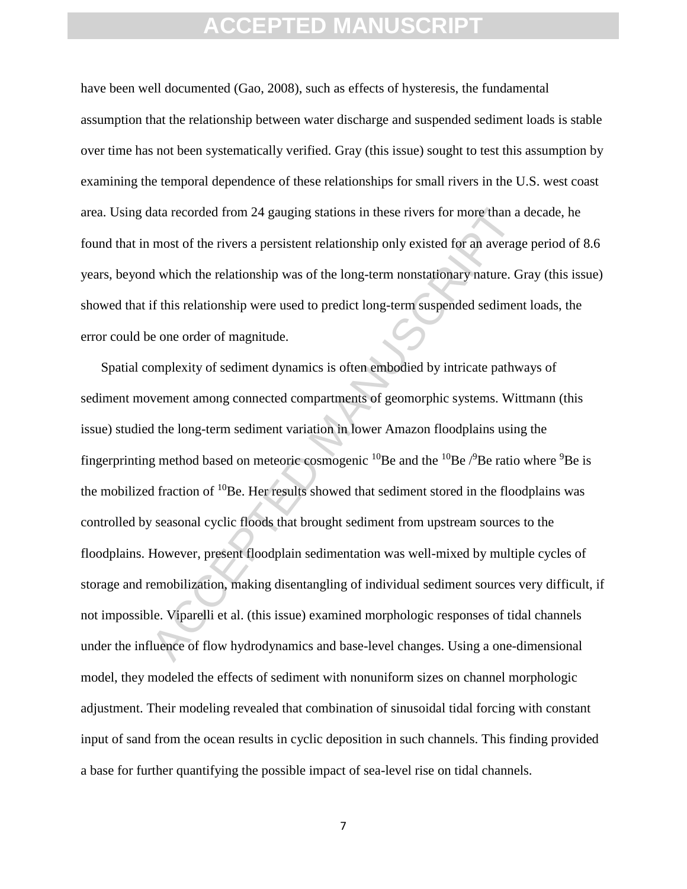have been well documented (Gao, 2008), such as effects of hysteresis, the fundamental assumption that the relationship between water discharge and suspended sediment loads is stable over time has not been systematically verified. Gray (this issue) sought to test this assumption by examining the temporal dependence of these relationships for small rivers in the U.S. west coast area. Using data recorded from 24 gauging stations in these rivers for more than a decade, he found that in most of the rivers a persistent relationship only existed for an average period of 8.6 years, beyond which the relationship was of the long-term nonstationary nature. Gray (this issue) showed that if this relationship were used to predict long-term suspended sediment loads, the error could be one order of magnitude.

data recorded from 24 gauging stations in these rivers for more than a<br>most of the rivers a persistent relationship only existed for an average<br>d which the relationship was of the long-term nonstationary nature. G<br>if this Spatial complexity of sediment dynamics is often embodied by intricate pathways of sediment movement among connected compartments of geomorphic systems. Wittmann (this issue) studied the long-term sediment variation in lower Amazon floodplains using the fingerprinting method based on meteoric cosmogenic <sup>10</sup>Be and the <sup>10</sup>Be  $\beta$ Be ratio where <sup>9</sup>Be is the mobilized fraction of  $10$ Be. Her results showed that sediment stored in the floodplains was controlled by seasonal cyclic floods that brought sediment from upstream sources to the floodplains. However, present floodplain sedimentation was well-mixed by multiple cycles of storage and remobilization, making disentangling of individual sediment sources very difficult, if not impossible. Viparelli et al. (this issue) examined morphologic responses of tidal channels under the influence of flow hydrodynamics and base-level changes. Using a one-dimensional model, they modeled the effects of sediment with nonuniform sizes on channel morphologic adjustment. Their modeling revealed that combination of sinusoidal tidal forcing with constant input of sand from the ocean results in cyclic deposition in such channels. This finding provided a base for further quantifying the possible impact of sea-level rise on tidal channels.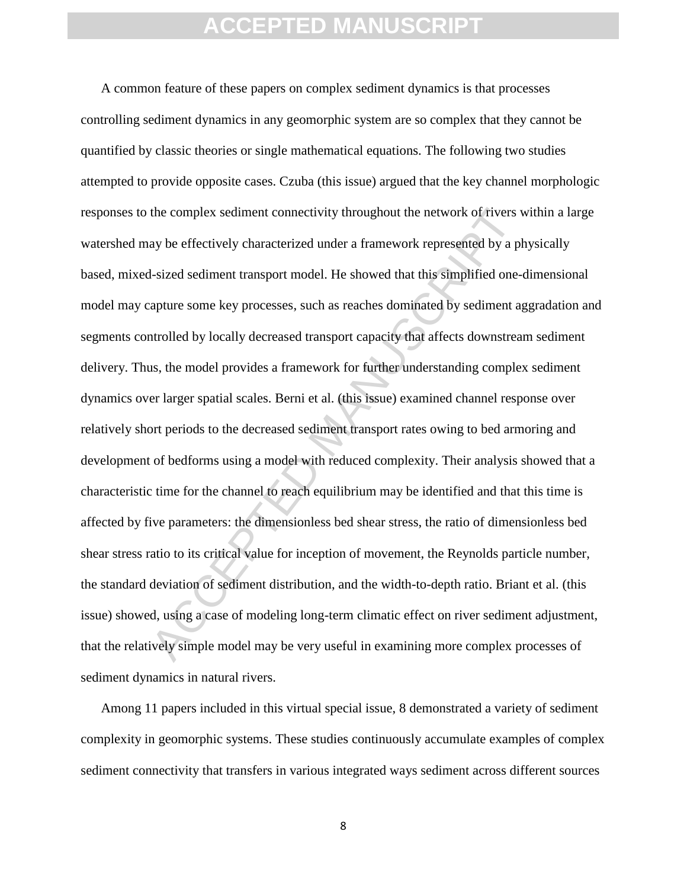the complex sediment connectivity throughout the network of rivers vay be effectively characterized under a framework represented by a pl-sized sediment transport model. He showed that this simplified one-<br>apture some key A common feature of these papers on complex sediment dynamics is that processes controlling sediment dynamics in any geomorphic system are so complex that they cannot be quantified by classic theories or single mathematical equations. The following two studies attempted to provide opposite cases. Czuba (this issue) argued that the key channel morphologic responses to the complex sediment connectivity throughout the network of rivers within a large watershed may be effectively characterized under a framework represented by a physically based, mixed-sized sediment transport model. He showed that this simplified one-dimensional model may capture some key processes, such as reaches dominated by sediment aggradation and segments controlled by locally decreased transport capacity that affects downstream sediment delivery. Thus, the model provides a framework for further understanding complex sediment dynamics over larger spatial scales. Berni et al. (this issue) examined channel response over relatively short periods to the decreased sediment transport rates owing to bed armoring and development of bedforms using a model with reduced complexity. Their analysis showed that a characteristic time for the channel to reach equilibrium may be identified and that this time is affected by five parameters: the dimensionless bed shear stress, the ratio of dimensionless bed shear stress ratio to its critical value for inception of movement, the Reynolds particle number, the standard deviation of sediment distribution, and the width-to-depth ratio. Briant et al. (this issue) showed, using a case of modeling long-term climatic effect on river sediment adjustment, that the relatively simple model may be very useful in examining more complex processes of sediment dynamics in natural rivers.

Among 11 papers included in this virtual special issue, 8 demonstrated a variety of sediment complexity in geomorphic systems. These studies continuously accumulate examples of complex sediment connectivity that transfers in various integrated ways sediment across different sources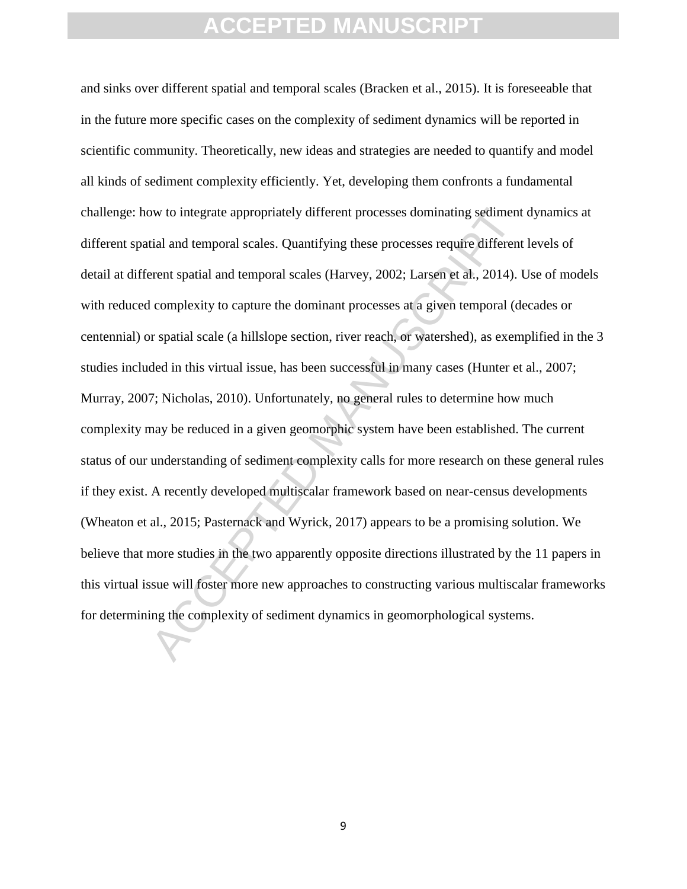w to integrate appropriately different processes dominating sediment<br>tial and temporal scales. Quantifying these processes require different<br>rent spatial and temporal scales (Harvey, 2002; Larsen et al., 2014).<br>I complexit and sinks over different spatial and temporal scales (Bracken et al., 2015). It is foreseeable that in the future more specific cases on the complexity of sediment dynamics will be reported in scientific community. Theoretically, new ideas and strategies are needed to quantify and model all kinds of sediment complexity efficiently. Yet, developing them confronts a fundamental challenge: how to integrate appropriately different processes dominating sediment dynamics at different spatial and temporal scales. Quantifying these processes require different levels of detail at different spatial and temporal scales (Harvey, 2002; Larsen et al., 2014). Use of models with reduced complexity to capture the dominant processes at a given temporal (decades or centennial) or spatial scale (a hillslope section, river reach, or watershed), as exemplified in the 3 studies included in this virtual issue, has been successful in many cases (Hunter et al., 2007; Murray, 2007; Nicholas, 2010). Unfortunately, no general rules to determine how much complexity may be reduced in a given geomorphic system have been established. The current status of our understanding of sediment complexity calls for more research on these general rules if they exist. A recently developed multiscalar framework based on near-census developments (Wheaton et al., 2015; Pasternack and Wyrick, 2017) appears to be a promising solution. We believe that more studies in the two apparently opposite directions illustrated by the 11 papers in this virtual issue will foster more new approaches to constructing various multiscalar frameworks for determining the complexity of sediment dynamics in geomorphological systems.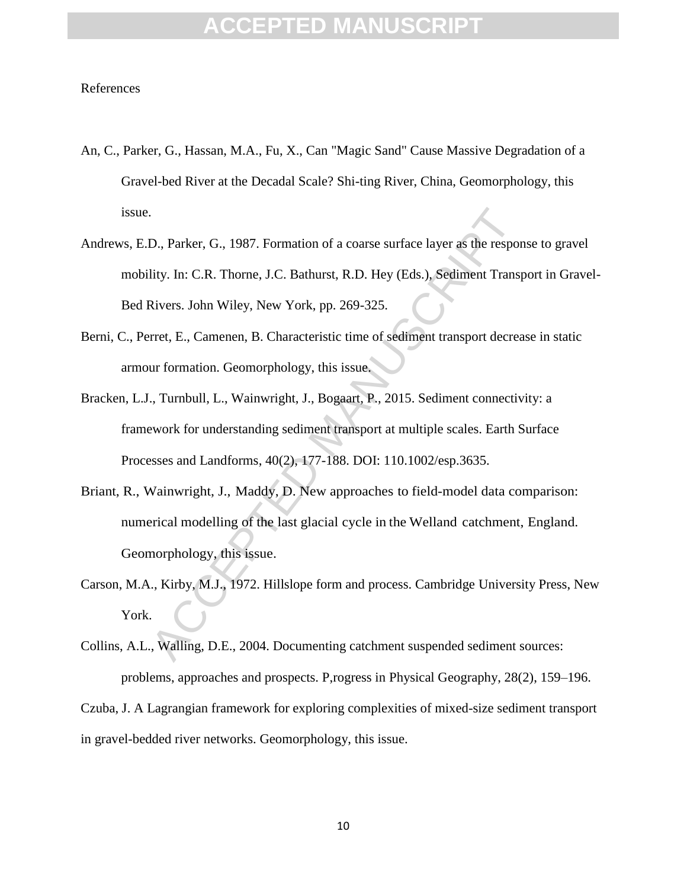#### References

- An, C., Parker, G., Hassan, M.A., Fu, X., Can "Magic Sand" Cause Massive Degradation of a Gravel-bed River at the Decadal Scale? Shi-ting River, China, Geomorphology, this issue.
- 9. Parker, G., 1987. Formation of a coarse surface layer as the resportive. In: C.R. Thome, J.C. Bathurst, R.D. Hey (Eds.), Sediment Trans<br>Rivers. John Wiley, New York, pp. 269-325.<br>Tret, E., Camenen, B. Characteristic tim Andrews, E.D., Parker, G., 1987. Formation of a coarse surface layer as the response to gravel mobility. In: C.R. Thorne, J.C. Bathurst, R.D. Hey (Eds.), Sediment Transport in Gravel-Bed Rivers. John Wiley, New York, pp. 269-325.
- Berni, C., Perret, E., Camenen, B. Characteristic time of sediment transport decrease in static armour formation. Geomorphology, this issue.
- Bracken, L.J., Turnbull, L., Wainwright, J., Bogaart, P., 2015. Sediment connectivity: a framework for understanding sediment transport at multiple scales. Earth Surface Processes and Landforms, 40(2), 177-188. DOI: 110.1002/esp.3635.
- Briant, R., Wainwright, J., Maddy, D. New approaches to field-model data comparison: numerical modelling of the last glacial cycle in the Welland catchment, England. Geomorphology, this issue.
- Carson, M.A., Kirby, M.J., 1972. Hillslope form and process. Cambridge University Press, New York.
- Collins, A.L., Walling, D.E., 2004. Documenting catchment suspended sediment sources: problems, approaches and prospects. P,rogress in Physical Geography, 28(2), 159–196.

Czuba, J. A Lagrangian framework for exploring complexities of mixed-size sediment transport in gravel-bedded river networks. Geomorphology, this issue.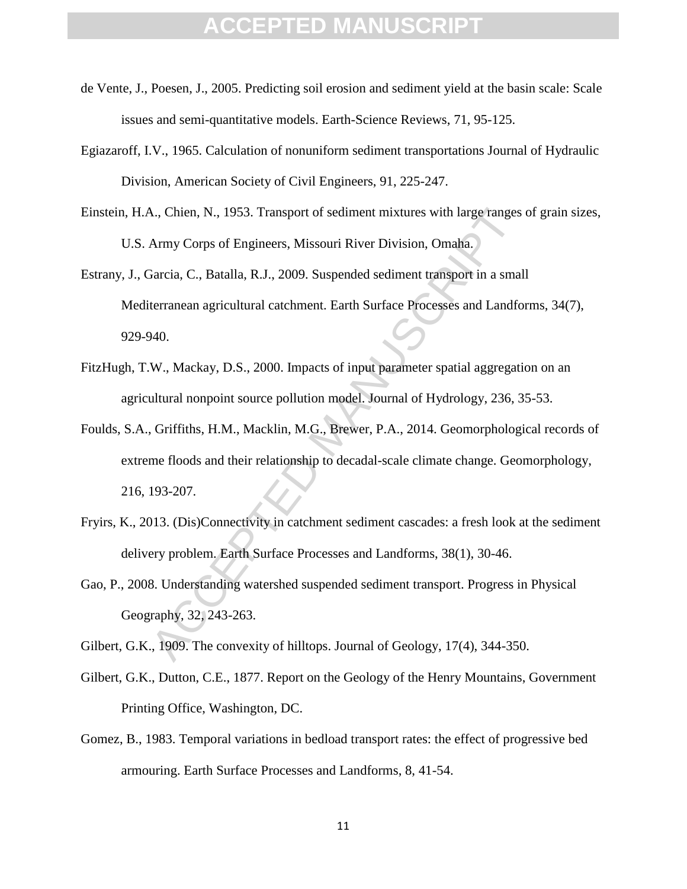- de Vente, J., Poesen, J., 2005. Predicting soil erosion and sediment yield at the basin scale: Scale issues and semi-quantitative models. Earth-Science Reviews, 71, 95-125.
- Egiazaroff, I.V., 1965. Calculation of nonuniform sediment transportations Journal of Hydraulic Division, American Society of Civil Engineers, 91, 225-247.
- Einstein, H.A., Chien, N., 1953. Transport of sediment mixtures with large ranges of grain sizes, U.S. Army Corps of Engineers, Missouri River Division, Omaha.
- Estrany, J., Garcia, C., Batalla, R.J., 2009. Suspended sediment transport in a small Mediterranean agricultural catchment. Earth Surface Processes and Landforms, 34(7), 929-940.
- FitzHugh, T.W., Mackay, D.S., 2000. Impacts of input parameter spatial aggregation on an agricultural nonpoint source pollution model. Journal of Hydrology, 236, 35-53.
- N., Chien, N., 1953. Transport of sediment mixtures with large ranges<br>Army Corps of Engineers, Missouri River Division, Omaha.<br>Jarcia, C., Batalla, R.J., 2009. Suspended sediment transport in a smalerranean agricultural ca Foulds, S.A., Griffiths, H.M., Macklin, M.G., Brewer, P.A., 2014. Geomorphological records of extreme floods and their relationship to decadal-scale climate change. Geomorphology, 216, 193-207.
- Fryirs, K., 2013. (Dis)Connectivity in catchment sediment cascades: a fresh look at the sediment delivery problem. Earth Surface Processes and Landforms, 38(1), 30-46.
- Gao, P., 2008. Understanding watershed suspended sediment transport. Progress in Physical Geography, 32, 243-263.

Gilbert, G.K., 1909. The convexity of hilltops. Journal of Geology, 17(4), 344-350.

- Gilbert, G.K., Dutton, C.E., 1877. Report on the Geology of the Henry Mountains, Government Printing Office, Washington, DC.
- Gomez, B., 1983. Temporal variations in bedload transport rates: the effect of progressive bed armouring. Earth Surface Processes and Landforms, 8, 41-54.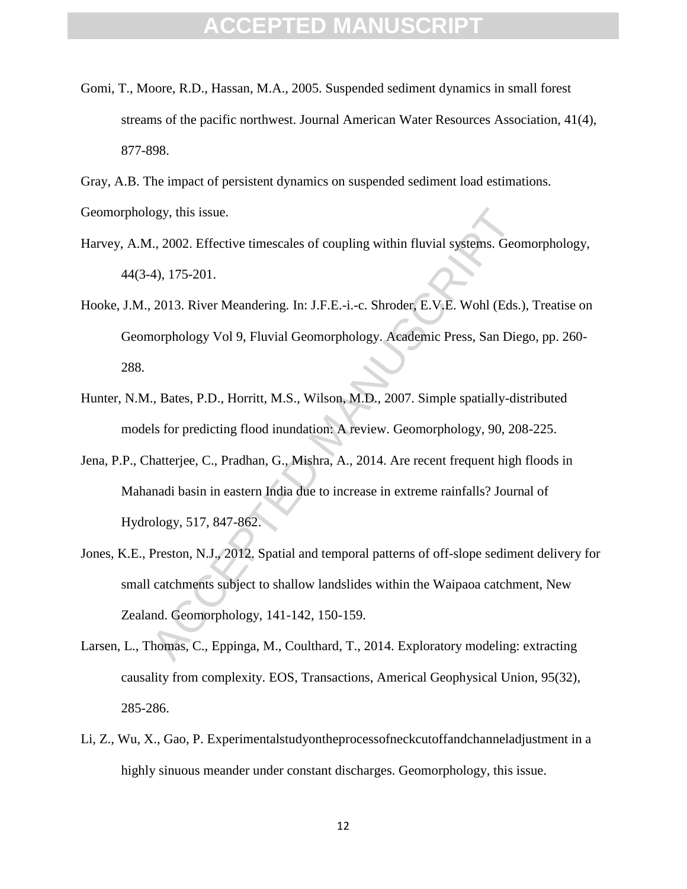- Gomi, T., Moore, R.D., Hassan, M.A., 2005. Suspended sediment dynamics in small forest streams of the pacific northwest. Journal American Water Resources Association, 41(4), 877-898.
- Gray, A.B. The impact of persistent dynamics on suspended sediment load estimations.

Geomorphology, this issue.

- Harvey, A.M., 2002. Effective timescales of coupling within fluvial systems. Geomorphology, 44(3-4), 175-201.
- Hooke, J.M., 2013. River Meandering. In: J.F.E.-i.-c. Shroder, E.V.E. Wohl (Eds.), Treatise on Geomorphology Vol 9, Fluvial Geomorphology. Academic Press, San Diego, pp. 260- 288.
- Hunter, N.M., Bates, P.D., Horritt, M.S., Wilson, M.D., 2007. Simple spatially-distributed models for predicting flood inundation: A review. Geomorphology, 90, 208-225.
- Jena, P.P., Chatterjee, C., Pradhan, G., Mishra, A., 2014. Are recent frequent high floods in Mahanadi basin in eastern India due to increase in extreme rainfalls? Journal of Hydrology, 517, 847-862.
- or E. 2002. Effective timescales of coupling within fluvial systems. Georyton, 2002. Effective timescales of coupling within fluvial systems. Georyton, 2013. River Meandering. In: J.F.E.-i.-c. Shroder, E.V.E. Wohl (Eds.)<br>2 Jones, K.E., Preston, N.J., 2012. Spatial and temporal patterns of off-slope sediment delivery for small catchments subject to shallow landslides within the Waipaoa catchment, New Zealand. Geomorphology, 141-142, 150-159.
- Larsen, L., Thomas, C., Eppinga, M., Coulthard, T., 2014. Exploratory modeling: extracting causality from complexity. EOS, Transactions, Americal Geophysical Union, 95(32), 285-286.
- Li, Z., Wu, X., Gao, P. Experimentalstudyontheprocessofneckcutoffandchanneladjustment in a highly sinuous meander under constant discharges. Geomorphology, this issue.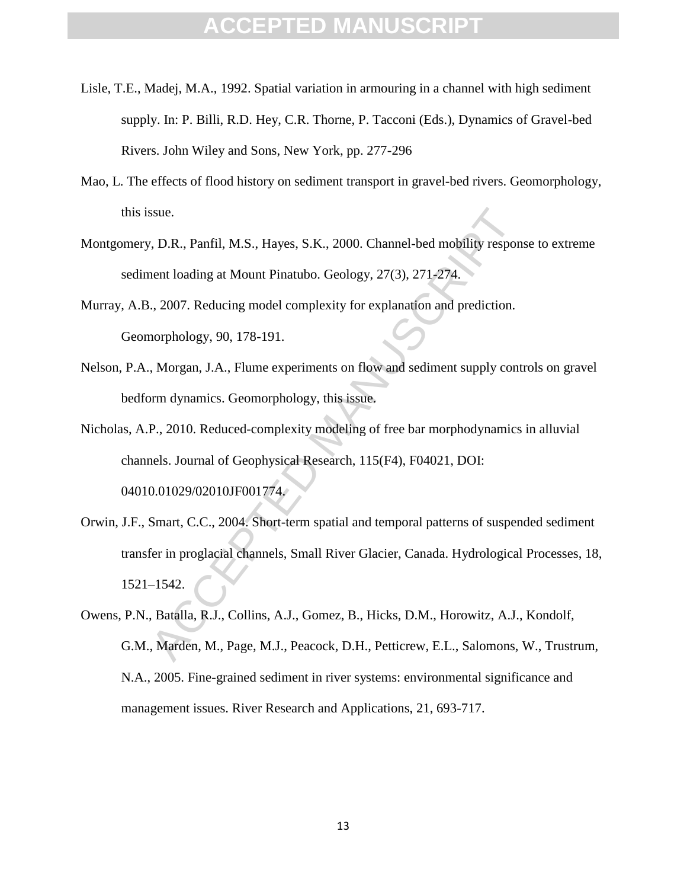- Lisle, T.E., Madej, M.A., 1992. Spatial variation in armouring in a channel with high sediment supply. In: P. Billi, R.D. Hey, C.R. Thorne, P. Tacconi (Eds.), Dynamics of Gravel-bed Rivers. John Wiley and Sons, New York, pp. 277-296
- Mao, L. The effects of flood history on sediment transport in gravel-bed rivers. Geomorphology, this issue.
- Montgomery, D.R., Panfil, M.S., Hayes, S.K., 2000. Channel-bed mobility response to extreme sediment loading at Mount Pinatubo. Geology, 27(3), 271-274.
- Murray, A.B., 2007. Reducing model complexity for explanation and prediction. Geomorphology, 90, 178-191.
- Nelson, P.A., Morgan, J.A., Flume experiments on flow and sediment supply controls on gravel bedform dynamics. Geomorphology, this issue.
- Nicholas, A.P., 2010. Reduced-complexity modeling of free bar morphodynamics in alluvial channels. Journal of Geophysical Research, 115(F4), F04021, DOI: 04010.01029/02010JF001774.
- sue.<br>
1, D.R., Panfil, M.S., Hayes, S.K., 2000. Channel-bed mobility respont loading at Mount Pinatubo. Geology, 27(3), 271-274.<br>
1, 2007. Reducing model complexity for explanation and prediction.<br>
1, 2007. Reducing model Orwin, J.F., Smart, C.C., 2004. Short-term spatial and temporal patterns of suspended sediment transfer in proglacial channels, Small River Glacier, Canada. Hydrological Processes, 18, 1521–1542.
- Owens, P.N., Batalla, R.J., Collins, A.J., Gomez, B., Hicks, D.M., Horowitz, A.J., Kondolf, G.M., Marden, M., Page, M.J., Peacock, D.H., Petticrew, E.L., Salomons, W., Trustrum, N.A., 2005. Fine-grained sediment in river systems: environmental significance and management issues. River Research and Applications, 21, 693-717.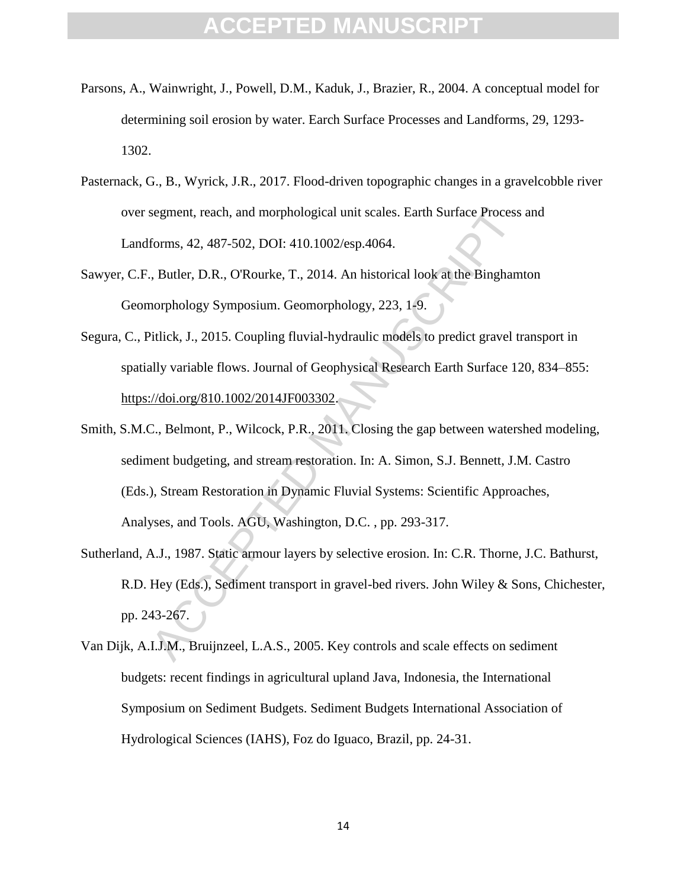- Parsons, A., Wainwright, J., Powell, D.M., Kaduk, J., Brazier, R., 2004. A conceptual model for determining soil erosion by water. Earch Surface Processes and Landforms, 29, 1293- 1302.
- Pasternack, G., B., Wyrick, J.R., 2017. Flood-driven topographic changes in a gravelcobble river over segment, reach, and morphological unit scales. Earth Surface Process and Landforms, 42, 487-502, DOI: 410.1002/esp.4064.
- Sawyer, C.F., Butler, D.R., O'Rourke, T., 2014. An historical look at the Binghamton Geomorphology Symposium. Geomorphology, 223, 1-9.
- Segura, C., Pitlick, J., 2015. Coupling fluvial-hydraulic models to predict gravel transport in spatially variable flows. Journal of Geophysical Research Earth Surface 120, 834–855: https://doi.org/810.1002/2014JF003302.
- segment, reach, and morphological unit scales. Earth Surface Process<br>forms, 42, 487-502, DOI: 410.1002/esp.4064.<br>
1. Butler, D.R., O'Rourke, T., 2014. An historical look at the Bingham<br>
norphology Symposium. Geomorphology, Smith, S.M.C., Belmont, P., Wilcock, P.R., 2011. Closing the gap between watershed modeling, sediment budgeting, and stream restoration. In: A. Simon, S.J. Bennett, J.M. Castro (Eds.), Stream Restoration in Dynamic Fluvial Systems: Scientific Approaches, Analyses, and Tools. AGU, Washington, D.C. , pp. 293-317.
- Sutherland, A.J., 1987. Static armour layers by selective erosion. In: C.R. Thorne, J.C. Bathurst, R.D. Hey (Eds.), Sediment transport in gravel-bed rivers. John Wiley & Sons, Chichester, pp. 243-267.
- Van Dijk, A.I.J.M., Bruijnzeel, L.A.S., 2005. Key controls and scale effects on sediment budgets: recent findings in agricultural upland Java, Indonesia, the International Symposium on Sediment Budgets. Sediment Budgets International Association of Hydrological Sciences (IAHS), Foz do Iguaco, Brazil, pp. 24-31.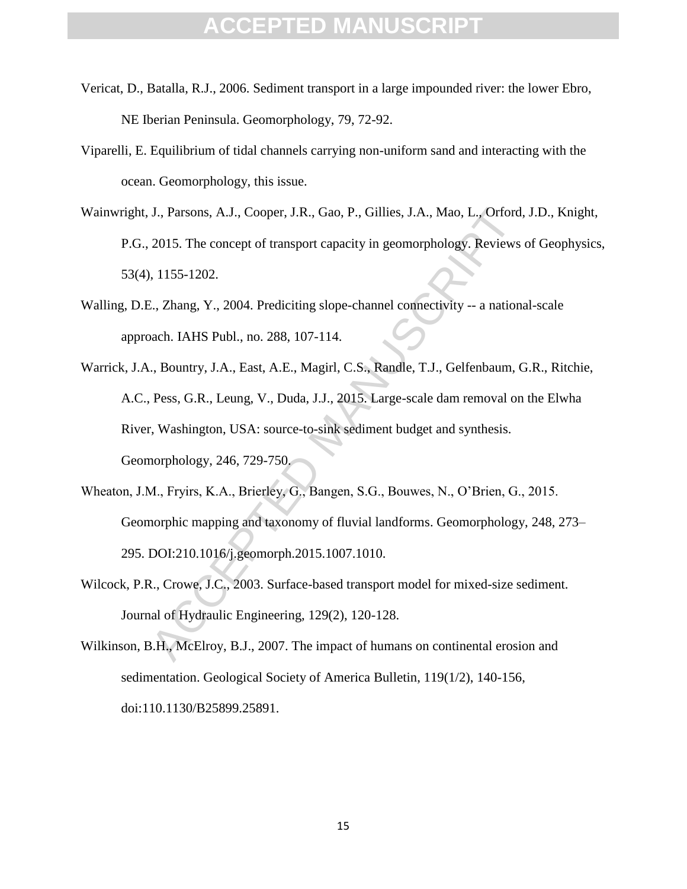- Vericat, D., Batalla, R.J., 2006. Sediment transport in a large impounded river: the lower Ebro, NE Iberian Peninsula. Geomorphology, 79, 72-92.
- Viparelli, E. Equilibrium of tidal channels carrying non-uniform sand and interacting with the ocean. Geomorphology, this issue.
- Wainwright, J., Parsons, A.J., Cooper, J.R., Gao, P., Gillies, J.A., Mao, L., Orford, J.D., Knight, P.G., 2015. The concept of transport capacity in geomorphology. Reviews of Geophysics, 53(4), 1155-1202.
- Walling, D.E., Zhang, Y., 2004. Prediciting slope-channel connectivity -- a national-scale approach. IAHS Publ., no. 288, 107-114.
- J., Parsons, A.J., Cooper, J.R., Gao, P., Gillies, J.A., Mao, L., Orford<br>2015. The concept of transport capacity in geomorphology. Reviews<br>1155-1202.<br>2., Zhang, Y., 2004. Prediciting slope-channel connectivity -- a nation<br> Warrick, J.A., Bountry, J.A., East, A.E., Magirl, C.S., Randle, T.J., Gelfenbaum, G.R., Ritchie, A.C., Pess, G.R., Leung, V., Duda, J.J., 2015. Large-scale dam removal on the Elwha River, Washington, USA: source-to-sink sediment budget and synthesis. Geomorphology, 246, 729-750.
- Wheaton, J.M., Fryirs, K.A., Brierley, G., Bangen, S.G., Bouwes, N., O'Brien, G., 2015. Geomorphic mapping and taxonomy of fluvial landforms. Geomorphology, 248, 273– 295. DOI:210.1016/j.geomorph.2015.1007.1010.
- Wilcock, P.R., Crowe, J.C., 2003. Surface-based transport model for mixed-size sediment. Journal of Hydraulic Engineering, 129(2), 120-128.
- Wilkinson, B.H., McElroy, B.J., 2007. The impact of humans on continental erosion and sedimentation. Geological Society of America Bulletin, 119(1/2), 140-156, doi:110.1130/B25899.25891.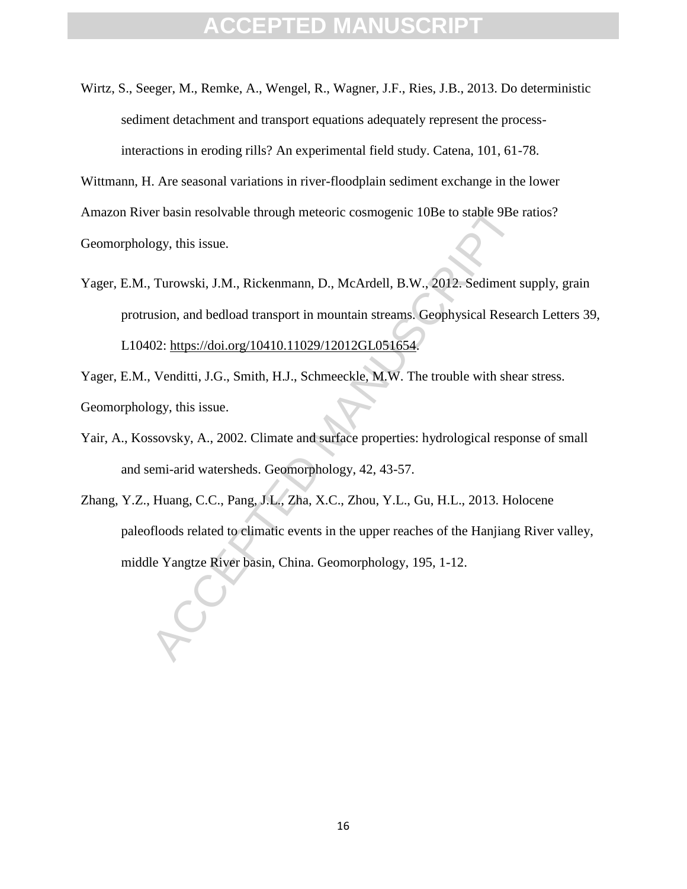Wirtz, S., Seeger, M., Remke, A., Wengel, R., Wagner, J.F., Ries, J.B., 2013. Do deterministic sediment detachment and transport equations adequately represent the processinteractions in eroding rills? An experimental field study. Catena, 101, 61-78.

Wittmann, H. Are seasonal variations in river-floodplain sediment exchange in the lower Amazon River basin resolvable through meteoric cosmogenic 10Be to stable 9Be ratios? Geomorphology, this issue.

Yager, E.M., Turowski, J.M., Rickenmann, D., McArdell, B.W., 2012. Sediment supply, grain protrusion, and bedload transport in mountain streams. Geophysical Research Letters 39, L10402: https://doi.org/10410.11029/12012GL051654.

Yager, E.M., Venditti, J.G., Smith, H.J., Schmeeckle, M.W. The trouble with shear stress. Geomorphology, this issue.

- Yair, A., Kossovsky, A., 2002. Climate and surface properties: hydrological response of small and semi-arid watersheds. Geomorphology, 42, 43-57.
- er basin resolvable through meteoric cosmogenic 10Be to stable 9Be<br>ogy, this issue.<br>Turowski, J.M., Rickenmann, D., McArdell, B.W., 2012. Sediment s<br>usion, and bedload transport in mountain streams. Geophysical Resea<br>02: h Zhang, Y.Z., Huang, C.C., Pang, J.L., Zha, X.C., Zhou, Y.L., Gu, H.L., 2013. Holocene paleofloods related to climatic events in the upper reaches of the Hanjiang River valley, middle Yangtze River basin, China. Geomorphology, 195, 1-12.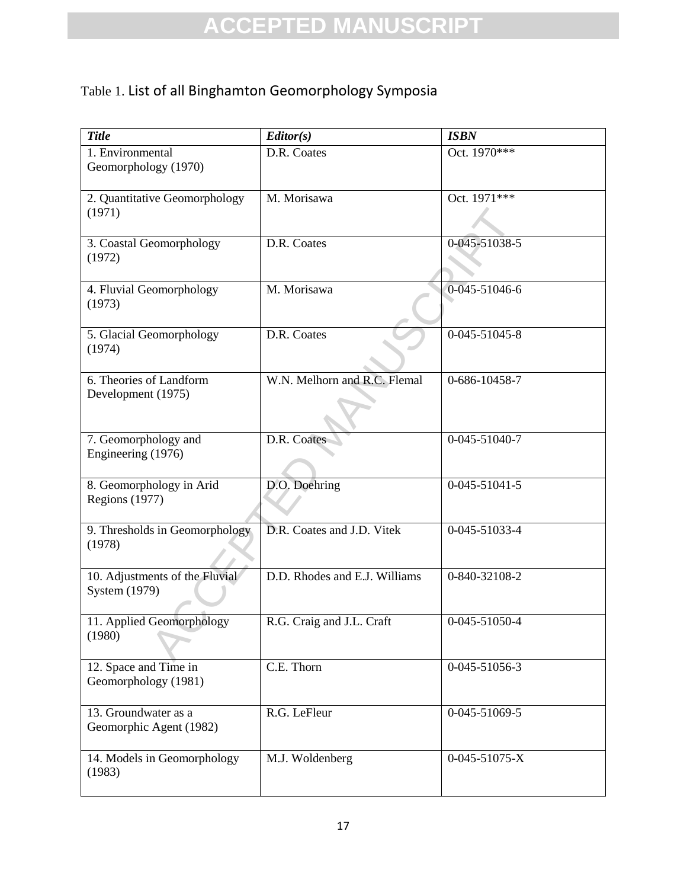### Table 1. List of all Binghamton Geomorphology Symposia

| <b>Title</b>                                      | Editor(s)                     | <b>ISBN</b>           |
|---------------------------------------------------|-------------------------------|-----------------------|
| 1. Environmental<br>Geomorphology (1970)          | D.R. Coates                   | Oct. 1970***          |
| 2. Quantitative Geomorphology<br>(1971)           | M. Morisawa                   | Oct. 1971***          |
| 3. Coastal Geomorphology<br>(1972)                | D.R. Coates                   | 0-045-51038-5         |
| 4. Fluvial Geomorphology<br>(1973)                | M. Morisawa                   | 0-045-51046-6         |
| 5. Glacial Geomorphology<br>(1974)                | D.R. Coates                   | 0-045-51045-8         |
| 6. Theories of Landform<br>Development (1975)     | W.N. Melhorn and R.C. Flemal  | 0-686-10458-7         |
| 7. Geomorphology and<br>Engineering (1976)        | D.R. Coates                   | 0-045-51040-7         |
| 8. Geomorphology in Arid<br><b>Regions</b> (1977) | D.O. Doehring                 | $0 - 045 - 51041 - 5$ |
| 9. Thresholds in Geomorphology<br>(1978)          | D.R. Coates and J.D. Vitek    | 0-045-51033-4         |
| 10. Adjustments of the Fluvial<br>System (1979)   | D.D. Rhodes and E.J. Williams | 0-840-32108-2         |
| 11. Applied Geomorphology<br>(1980)               | R.G. Craig and J.L. Craft     | 0-045-51050-4         |
| 12. Space and Time in<br>Geomorphology (1981)     | C.E. Thorn                    | 0-045-51056-3         |
| 13. Groundwater as a<br>Geomorphic Agent (1982)   | R.G. LeFleur                  | 0-045-51069-5         |
| 14. Models in Geomorphology<br>(1983)             | M.J. Woldenberg               | 0-045-51075-X         |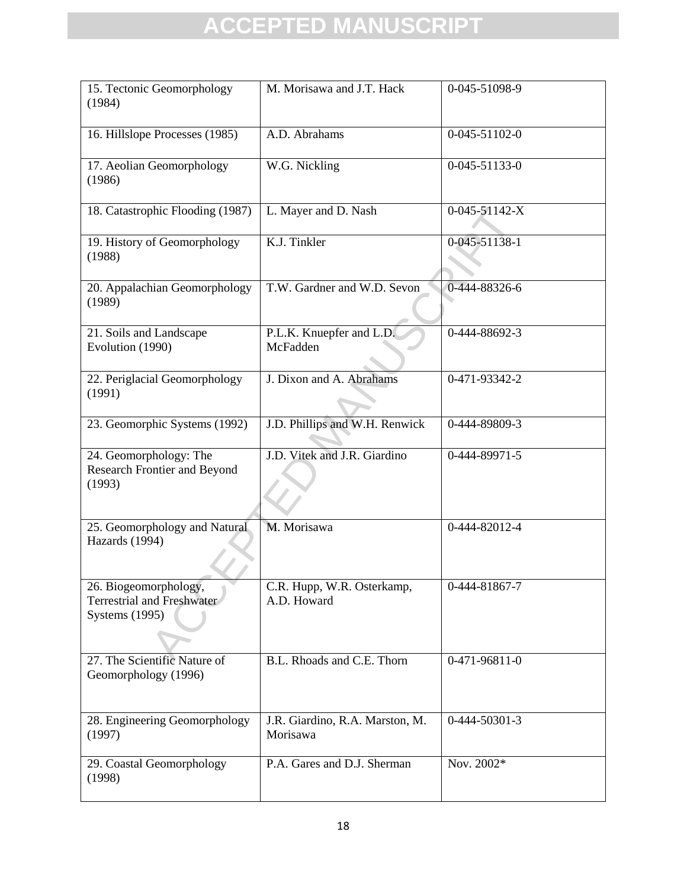| 15. Tectonic Geomorphology<br>(1984)                                         | M. Morisawa and J.T. Hack                   | 0-045-51098-9               |
|------------------------------------------------------------------------------|---------------------------------------------|-----------------------------|
| 16. Hillslope Processes (1985)                                               | A.D. Abrahams                               | 0-045-51102-0               |
| 17. Aeolian Geomorphology<br>(1986)                                          | W.G. Nickling                               | 0-045-51133-0               |
| 18. Catastrophic Flooding (1987)                                             | L. Mayer and D. Nash                        | 0-045-51142-X               |
| 19. History of Geomorphology<br>(1988)                                       | K.J. Tinkler                                | 0-045-51138-1               |
| 20. Appalachian Geomorphology<br>(1989)                                      | T.W. Gardner and W.D. Sevon                 | 0-444-88326-6               |
| 21. Soils and Landscape<br>Evolution (1990)                                  | P.L.K. Knuepfer and L.D.<br>McFadden        | $\overline{0}$ -444-88692-3 |
| 22. Periglacial Geomorphology<br>(1991)                                      | J. Dixon and A. Abrahams                    | 0-471-93342-2               |
| 23. Geomorphic Systems (1992)                                                | J.D. Phillips and W.H. Renwick              | 0-444-89809-3               |
| 24. Geomorphology: The<br>Research Frontier and Beyond<br>(1993)             | J.D. Vitek and J.R. Giardino                | 0-444-89971-5               |
| 25. Geomorphology and Natural<br>Hazards (1994)                              | M. Morisawa                                 | 0-444-82012-4               |
| 26. Biogeomorphology,<br>Terrestrial and Freshwater<br><b>Systems</b> (1995) | C.R. Hupp, W.R. Osterkamp,<br>A.D. Howard   | 0-444-81867-7               |
| 27. The Scientific Nature of<br>Geomorphology (1996)                         | B.L. Rhoads and C.E. Thorn                  | 0-471-96811-0               |
| 28. Engineering Geomorphology<br>(1997)                                      | J.R. Giardino, R.A. Marston, M.<br>Morisawa | 0-444-50301-3               |
| 29. Coastal Geomorphology<br>(1998)                                          | P.A. Gares and D.J. Sherman                 | Nov. 2002*                  |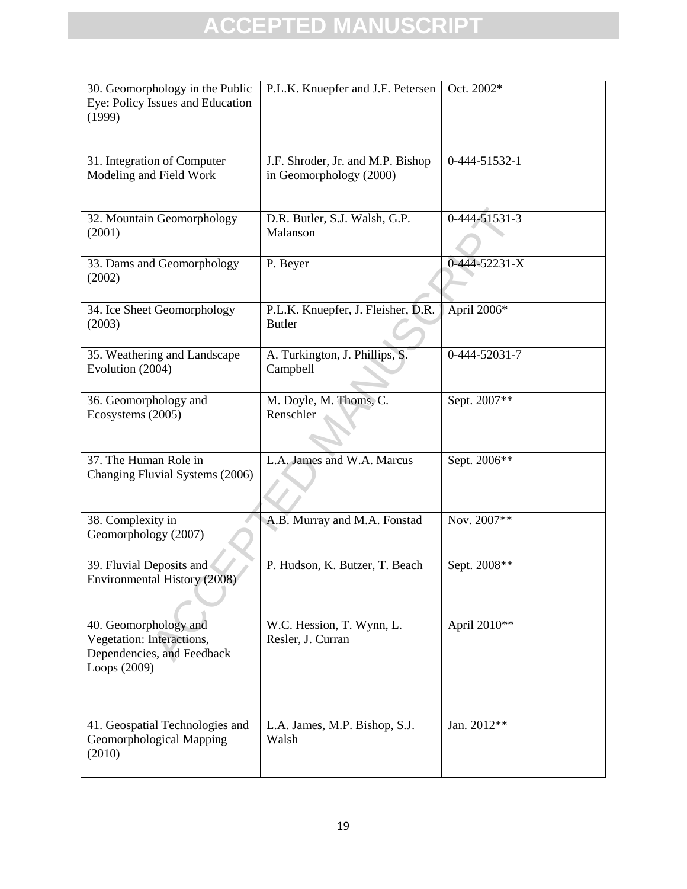| 30. Geomorphology in the Public<br>Eye: Policy Issues and Education<br>(1999)                    | P.L.K. Knuepfer and J.F. Petersen                            | Oct. 2002*    |
|--------------------------------------------------------------------------------------------------|--------------------------------------------------------------|---------------|
| 31. Integration of Computer<br>Modeling and Field Work                                           | J.F. Shroder, Jr. and M.P. Bishop<br>in Geomorphology (2000) | 0-444-51532-1 |
| 32. Mountain Geomorphology<br>(2001)                                                             | D.R. Butler, S.J. Walsh, G.P.<br>Malanson                    | 0-444-51531-3 |
| 33. Dams and Geomorphology<br>(2002)                                                             | P. Beyer                                                     | 0-444-52231-X |
| 34. Ice Sheet Geomorphology<br>(2003)                                                            | P.L.K. Knuepfer, J. Fleisher, D.R.<br><b>Butler</b>          | April 2006*   |
| 35. Weathering and Landscape<br>Evolution (2004)                                                 | A. Turkington, J. Phillips, S.<br>Campbell                   | 0-444-52031-7 |
| 36. Geomorphology and<br>Ecosystems (2005)                                                       | M. Doyle, M. Thoms, C.<br>Renschler                          | Sept. 2007**  |
| 37. The Human Role in<br>Changing Fluvial Systems (2006)                                         | L.A. James and W.A. Marcus                                   | Sept. 2006**  |
| 38. Complexity in<br>Geomorphology (2007)                                                        | A.B. Murray and M.A. Fonstad                                 | Nov. 2007**   |
| 39. Fluvial Deposits and<br>Environmental History (2008)                                         | P. Hudson, K. Butzer, T. Beach                               | Sept. 2008**  |
| 40. Geomorphology and<br>Vegetation: Interactions,<br>Dependencies, and Feedback<br>Loops (2009) | W.C. Hession, T. Wynn, L.<br>Resler, J. Curran               | April 2010**  |
| 41. Geospatial Technologies and<br>Geomorphological Mapping<br>(2010)                            | L.A. James, M.P. Bishop, S.J.<br>Walsh                       | Jan. 2012**   |